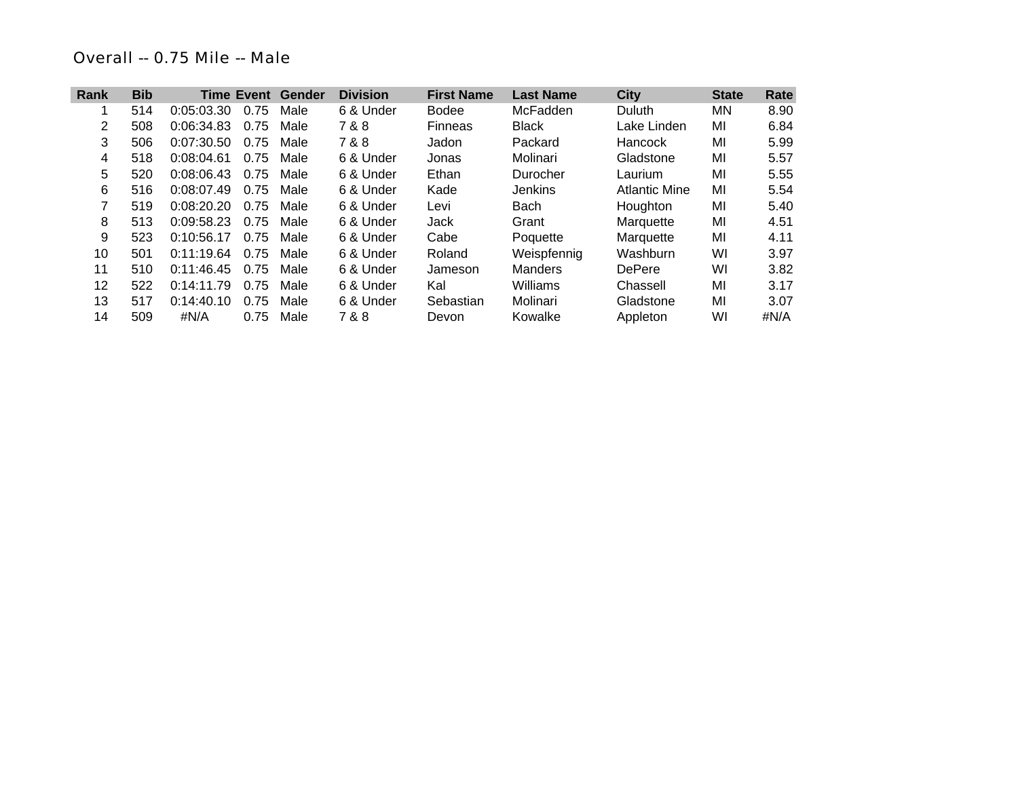## *Overall -- 0.75 Mile -- Male*

| Rank | <b>Bib</b> | <b>Time Event</b> |      | Gender | <b>Division</b> | <b>First Name</b> | <b>Last Name</b> | <b>City</b>          | <b>State</b> | Rate |
|------|------------|-------------------|------|--------|-----------------|-------------------|------------------|----------------------|--------------|------|
| 1    | 514        | 0:05:03.30        | 0.75 | Male   | 6 & Under       | <b>Bodee</b>      | McFadden         | Duluth               | <b>MN</b>    | 8.90 |
| 2    | 508        | 0:06:34.83        | 0.75 | Male   | 7 & 8           | <b>Finneas</b>    | <b>Black</b>     | Lake Linden          | MI           | 6.84 |
| 3    | 506        | 0:07:30.50        | 0.75 | Male   | 7 & 8           | Jadon             | Packard          | Hancock              | MI           | 5.99 |
| 4    | 518        | 0:08:04.61        | 0.75 | Male   | 6 & Under       | Jonas             | Molinari         | Gladstone            | MI           | 5.57 |
| 5    | 520        | 0:08:06.43        | 0.75 | Male   | 6 & Under       | Ethan             | Durocher         | Laurium              | MI           | 5.55 |
| 6    | 516        | 0:08:07.49        | 0.75 | Male   | 6 & Under       | Kade              | <b>Jenkins</b>   | <b>Atlantic Mine</b> | MI           | 5.54 |
| 7    | 519        | 0:08:20.20        | 0.75 | Male   | 6 & Under       | Levi              | Bach             | Houghton             | MI           | 5.40 |
| 8    | 513        | 0:09:58.23        | 0.75 | Male   | 6 & Under       | Jack              | Grant            | Marquette            | MI           | 4.51 |
| 9    | 523        | 0:10:56.17        | 0.75 | Male   | 6 & Under       | Cabe              | Poquette         | Marquette            | MI           | 4.11 |
| 10   | 501        | 0:11:19.64        | 0.75 | Male   | 6 & Under       | Roland            | Weispfennig      | Washburn             | WI           | 3.97 |
| 11   | 510        | 0:11:46.45        | 0.75 | Male   | 6 & Under       | Jameson           | <b>Manders</b>   | <b>DePere</b>        | WI           | 3.82 |
| 12   | 522        | 0:14:11.79        | 0.75 | Male   | 6 & Under       | Kal               | Williams         | Chassell             | MI           | 3.17 |
| 13   | 517        | 0:14:40.10        | 0.75 | Male   | 6 & Under       | Sebastian         | Molinari         | Gladstone            | MI           | 3.07 |
| 14   | 509        | #N/A              | 0.75 | Male   | 7 & 8           | Devon             | Kowalke          | Appleton             | WI           | #N/A |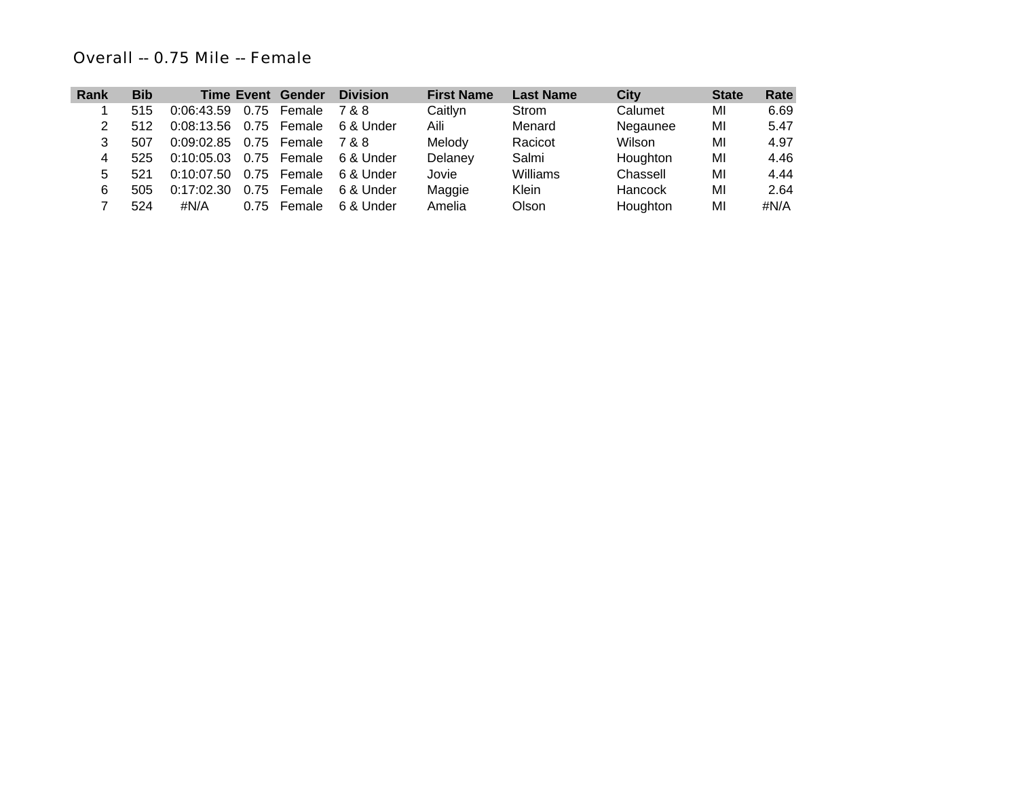# *Overall -- 0.75 Mile -- Female*

| Rank | <b>Bib</b> |                   |      | <b>Time Event Gender</b> | <b>Division</b> | <b>First Name</b> | <b>Last Name</b> | City     | <b>State</b> | Rate |
|------|------------|-------------------|------|--------------------------|-----------------|-------------------|------------------|----------|--------------|------|
|      | 515        | 0:06:43.59        | 0.75 | Female                   | 7 & 8           | Caitlyn           | Strom            | Calumet  | MI           | 6.69 |
|      | 512        | 0:08:13.56 0.75   |      | Female                   | 6 & Under       | Aili              | Menard           | Negaunee | MI           | 5.47 |
|      | 507        | $0:09:02.85$ 0.75 |      | Female                   | 7&8             | Melody            | Racicot          | Wilson   | MI           | 4.97 |
| 4    | 525        | 0:10:05.03 0.75   |      | Female                   | 6 & Under       | Delaney           | Salmi            | Houghton | MI           | 4.46 |
| 5    | 521        | $0:10:07.50$ 0.75 |      | Female                   | 6 & Under       | Jovie             | Williams         | Chassell | MI           | 4.44 |
| 6    | 505        | 0:17:02.30        | 0.75 | Female                   | 6 & Under       | Maggie            | Klein            | Hancock  | MI           | 2.64 |
|      | 524        | #N/A              | 0.75 | Female                   | 6 & Under       | Amelia            | Olson            | Houghton | MI           | #N/A |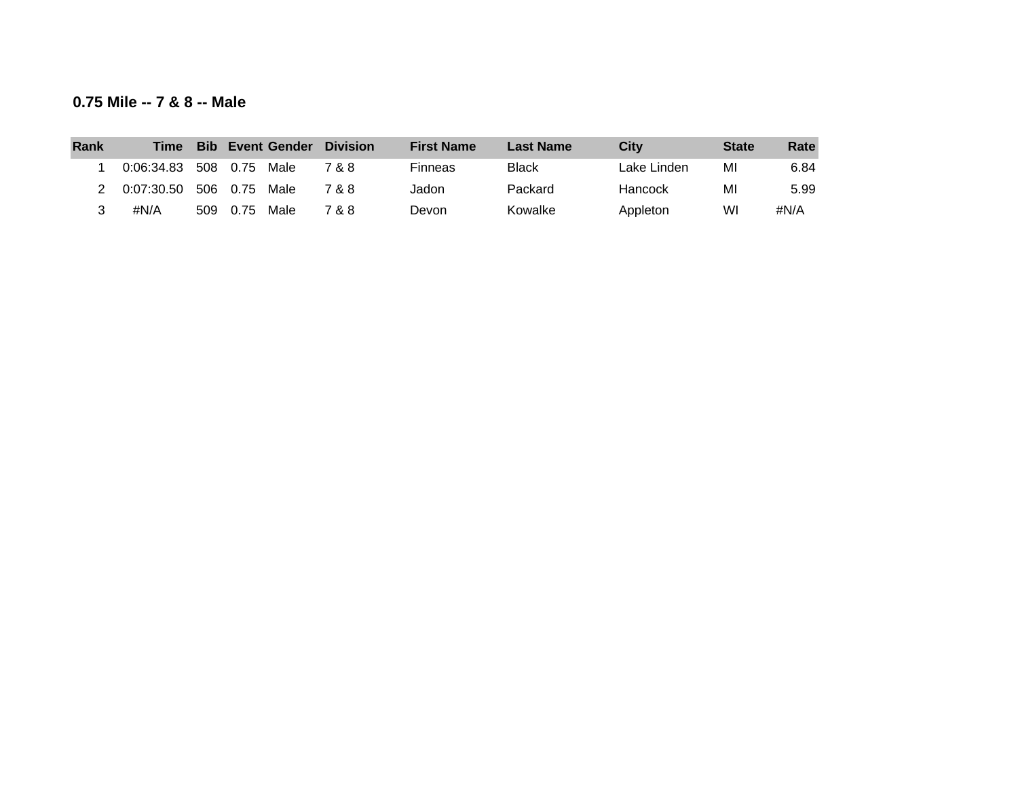| 0.75 Mile -- 7 & 8 -- Male |  |  |  |  |  |
|----------------------------|--|--|--|--|--|
|----------------------------|--|--|--|--|--|

| Rank | <b>Time</b> | <b>Bib</b> |      | <b>Event Gender</b> | <b>Division</b> | <b>First Name</b> | <b>Last Name</b> | <b>City</b> | <b>State</b> | Rate |
|------|-------------|------------|------|---------------------|-----------------|-------------------|------------------|-------------|--------------|------|
|      | 0:06:34.83  | 508        | 0.75 | Male                | 7 & 8           | <b>Finneas</b>    | <b>Black</b>     | Lake Linden | MI           | 6.84 |
|      | 0:07:30.50  | 506        | 0.75 | Male                | 7 & 8           | Jadon             | Packard          | Hancock     | MI           | 5.99 |
|      | #N/A        | 509        | 0.75 | Male                | 7 & 8           | Devon             | Kowalke          | Appleton    | WI           | #N/A |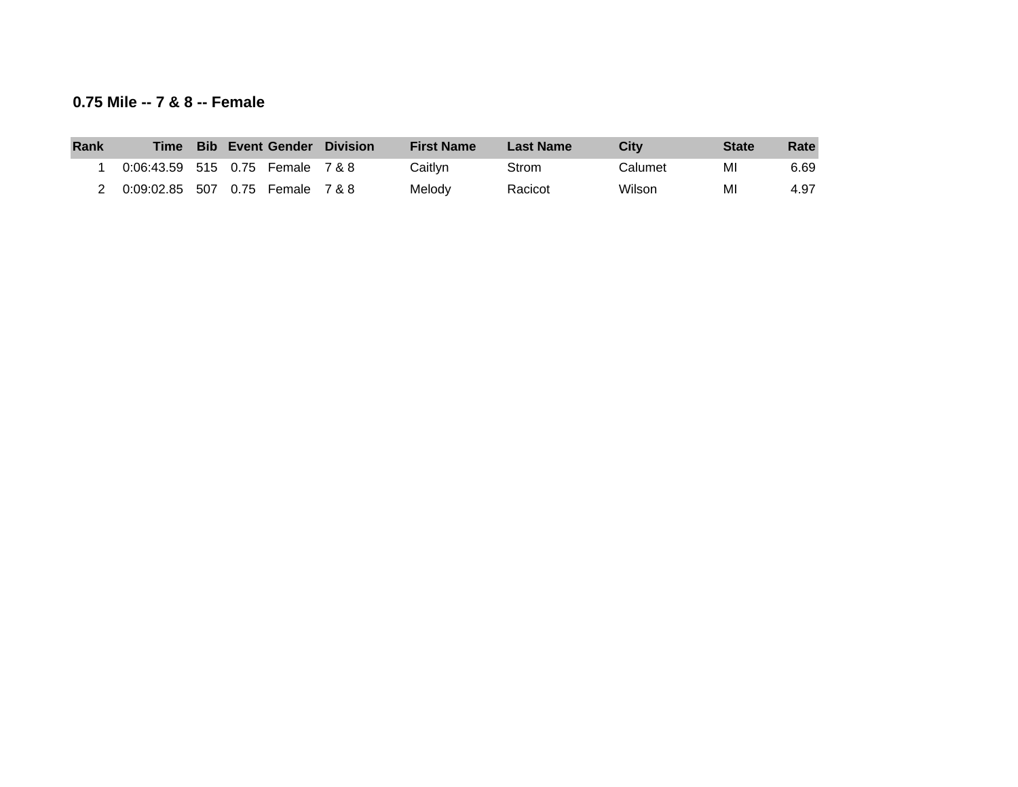### **0.75 Mile -- 7 & 8 -- Female**

| Rank | <b>Time</b>                      |  |                            | <b>Bib Event Gender Division</b> | <b>First Name</b> | <b>Last Name</b> | City    | <b>State</b> | Rate |
|------|----------------------------------|--|----------------------------|----------------------------------|-------------------|------------------|---------|--------------|------|
|      | 0:06:43.59 515 0.75 Female 7 & 8 |  |                            |                                  | Caitlvn           | Strom            | Calumet | MI           | 6.69 |
|      | 0:09:02.85                       |  | 507  0.75  Female  7  &  8 |                                  | Melody            | Racicot          | Wilson  | MI           | 4.97 |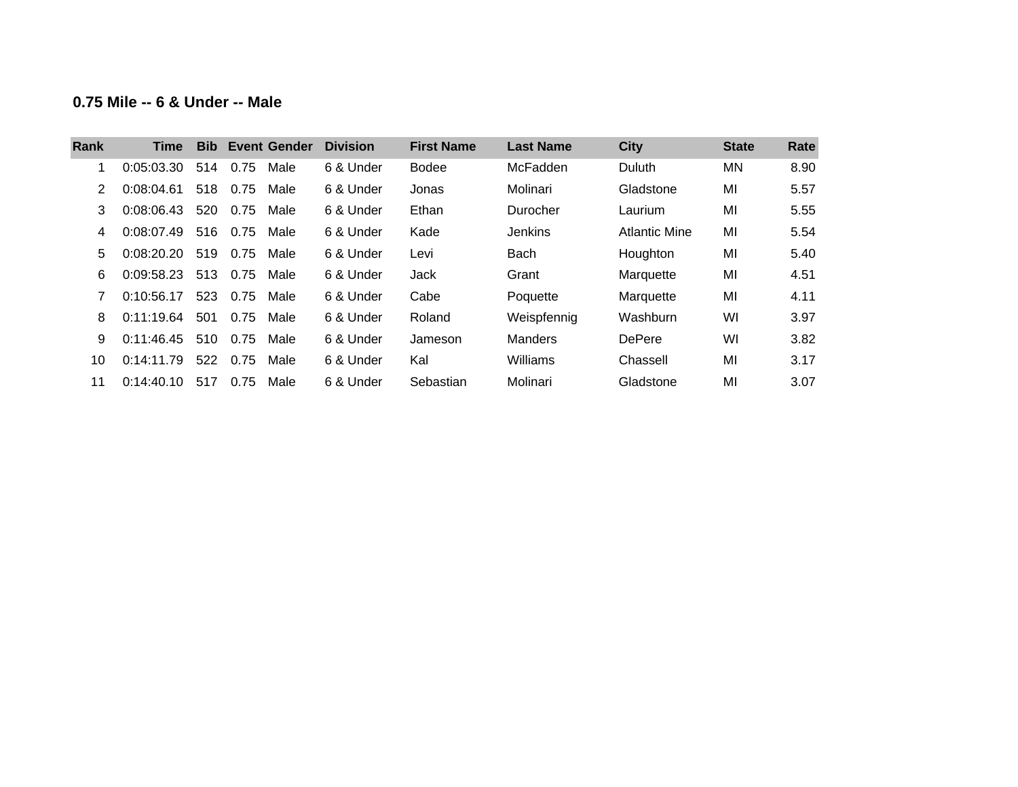## **0.75 Mile -- 6 & Under -- Male**

| Rank | Time       | <b>Bib</b> |      | <b>Event Gender</b> | <b>Division</b> | <b>First Name</b> | <b>Last Name</b> | <b>City</b>   | <b>State</b> | Rate |
|------|------------|------------|------|---------------------|-----------------|-------------------|------------------|---------------|--------------|------|
|      | 0:05:03.30 | 514        | 0.75 | Male                | 6 & Under       | <b>Bodee</b>      | McFadden         | <b>Duluth</b> | ΜN           | 8.90 |
|      | 0:08:04.61 | 518        | 0.75 | Male                | 6 & Under       | Jonas             | Molinari         | Gladstone     | MI           | 5.57 |
| 3    | 0:08:06.43 | 520        | 0.75 | Male                | 6 & Under       | Ethan             | Durocher         | Laurium       | MI           | 5.55 |
| 4    | 0:08:07.49 | 516        | 0.75 | Male                | 6 & Under       | Kade              | <b>Jenkins</b>   | Atlantic Mine | MI           | 5.54 |
| 5    | 0:08:20.20 | 519        | 0.75 | Male                | 6 & Under       | Levi              | <b>Bach</b>      | Houghton      | MI           | 5.40 |
| 6    | 0:09:58.23 | 513        | 0.75 | Male                | 6 & Under       | Jack              | Grant            | Marquette     | MI           | 4.51 |
|      | 0:10:56.17 | 523        | 0.75 | Male                | 6 & Under       | Cabe              | Poquette         | Marquette     | MI           | 4.11 |
| 8    | 0:11:19.64 | 501        | 0.75 | Male                | 6 & Under       | Roland            | Weispfennig      | Washburn      | WI           | 3.97 |
| 9    | 0:11:46.45 | 510        | 0.75 | Male                | 6 & Under       | Jameson           | <b>Manders</b>   | <b>DePere</b> | WI           | 3.82 |
| 10   | 0:14:11.79 | 522        | 0.75 | Male                | 6 & Under       | Kal               | Williams         | Chassell      | MI           | 3.17 |
| 11   | 0:14:40.10 | 517        | 0.75 | Male                | 6 & Under       | Sebastian         | Molinari         | Gladstone     | MI           | 3.07 |